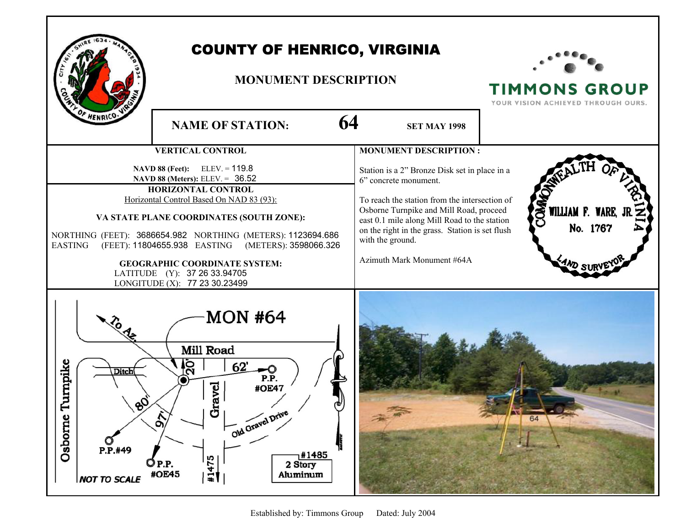

## COUNTY OF HENRICO, VIRGINIA

## **MONUMENT DESCRIPTION**



**TIMMONS GROUP** YOUR VISION ACHIEVED THROUGH OURS.